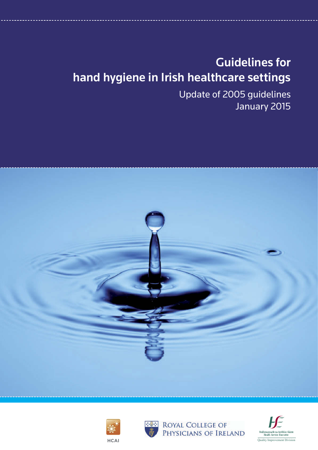# Guidelines for hand hygiene in Irish healthcare settings

Update of 2005 guidelines January 2015







**ROYAL COLLEGE OF** PHYSICIANS OF IRELAND

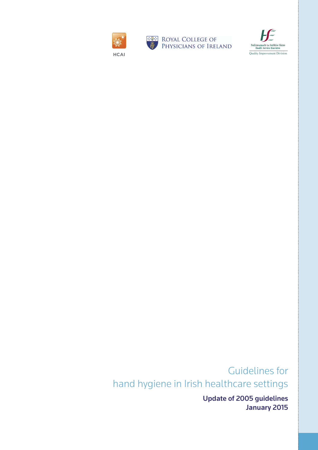





Guidelines for hand hygiene in Irish healthcare settings

> Update of 2005 guidelines January 2015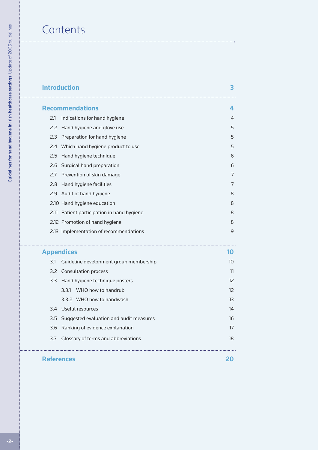# **Contents**

## **[Introduction](#page-3-0)**

|                   | <b>Recommendations</b>                            | 4  |
|-------------------|---------------------------------------------------|----|
| 2.1               | Indications for hand hygiene                      | 4  |
| 2.2               | Hand hygiene and glove use                        | 5  |
| 2.3               | Preparation for hand hygiene                      | 5  |
| 2.4               | Which hand hygiene product to use                 | 5  |
| 2.5               | Hand hygiene technique                            | 6  |
| 2.6               | Surgical hand preparation                         | 6  |
| 2.7               | Prevention of skin damage                         | 7  |
| 2.8               | Hand hygiene facilities                           | 7  |
| 2.9               | Audit of hand hygiene                             | 8  |
|                   | 2.10 Hand hygiene education                       | 8  |
|                   | 2.11 Patient participation in hand hygiene        | 8  |
|                   | 2.12 Promotion of hand hygiene                    | 8  |
|                   | 2.13 Implementation of recommendations            | 9  |
|                   | ----------------------------<br><b>Appendices</b> | 10 |
| 3.1               | Guideline development group membership            | 10 |
| 3.2               | <b>Consultation process</b>                       | 11 |
| 3.3               | Hand hygiene technique posters                    | 12 |
|                   | WHO how to handrub<br>3.3.1                       | 12 |
|                   | 3.3.2 WHO how to handwash                         | 13 |
| 3.4               | Useful resources                                  | 14 |
| 3.5               | Suggested evaluation and audit measures           | 16 |
| 3.6               | Ranking of evidence explanation                   | 17 |
| 3.7               | Glossary of terms and abbreviations<br>18         |    |
|                   |                                                   |    |
| <b>References</b> |                                                   | 20 |

**3**

. . . . . . . . . . . . . . . .

22222222  $\sim$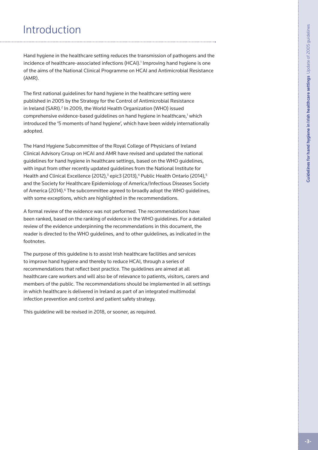# <span id="page-3-0"></span>Introduction

Hand hygiene in the healthcare setting reduces the transmission of pathogens and the incidence of healthcare-associated infections (HCAI).<sup>1</sup> Improving hand hygiene is one of the aims of the National Clinical Programme on HCAI and Antimicrobial Resistance (AMR).

The first national guidelines for hand hygiene in the healthcare setting were published in 2005 by the Strategy for the Control of Antimicrobial Resistance in Ireland (SARI).<sup>2</sup> In 2009, the World Health Organization (WHO) issued comprehensive evidence-based guidelines on hand hygiene in healthcare,<sup>1</sup> which introduced the '5 moments of hand hygiene', which have been widely internationally adopted.

The Hand Hygiene Subcommittee of the Royal College of Physicians of Ireland Clinical Advisory Group on HCAI and AMR have revised and updated the national guidelines for hand hygiene in healthcare settings, based on the WHO guidelines, with input from other recently updated guidelines from the National Institute for Health and Clinical Excellence (2012),<sup>3</sup> epic3 (2013),<sup>4</sup> Public Health Ontario (2014),<sup>5</sup> and the Society for Healthcare Epidemiology of America/Infectious Diseases Society of America (2014).<sup>6</sup> The subcommittee agreed to broadly adopt the WHO guidelines, with some exceptions, which are highlighted in the recommendations.

A formal review of the evidence was not performed. The recommendations have been ranked, based on the ranking of evidence in the WHO guidelines. For a detailed review of the evidence underpinning the recommendations in this document, the reader is directed to the WHO guidelines, and to other guidelines, as indicated in the footnotes.

The purpose of this guideline is to assist Irish healthcare facilities and services to improve hand hygiene and thereby to reduce HCAI, through a series of recommendations that reflect best practice. The guidelines are aimed at all healthcare care workers and will also be of relevance to patients, visitors, carers and members of the public. The recommendations should be implemented in all settings in which healthcare is delivered in Ireland as part of an integrated multimodal infection prevention and control and patient safety strategy.

This guideline will be revised in 2018, or sooner, as required.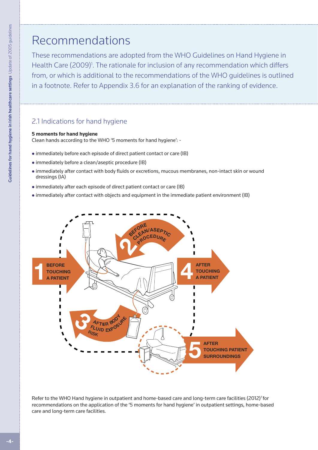# <span id="page-4-0"></span>Recommendations

These recommendations are adopted from the WHO Guidelines on Hand Hygiene in Health Care (2009)<sup>1</sup>. The rationale for inclusion of any recommendation which differs from, or which is additional to the recommendations of the WHO guidelines is outlined in a footnote. Refer to Appendix 3.6 for an explanation of the ranking of evidence.

## 2.1 Indications for hand hygiene

#### **5 moments for hand hygiene**

Clean hands according to the WHO '5 moments for hand hygiene': -

- immediately before each episode of direct patient contact or care (IB)
- immediately before a clean/aseptic procedure (IB)
- immediately before each episode of direct patient contact or care (IB)<br>● immediately before a clean/aseptic procedure (IB)<br>● immediately after contact with body fluids or excretions, mucous membranes, non-intact skin or dressings (IA) dressings (IA)<br>• immediately after each episode of direct patient contact or care (IB)<br>• immediately after contact with objects and equipment in the immediate patient environment (IB)
	- immediately after each episode of direct patient contact or care (IB)
	- <sup>l</sup> immediately after contact with objects and equipment in the immediate patient environment (IB)



Refer to the WHO Hand hygiene in outpatient and home-based care and long-term care facilities (2012)<sup>7</sup> for recommendations on the application of the '5 moments for hand hygiene' in outpatient settings, home-based care and long-term care facilities.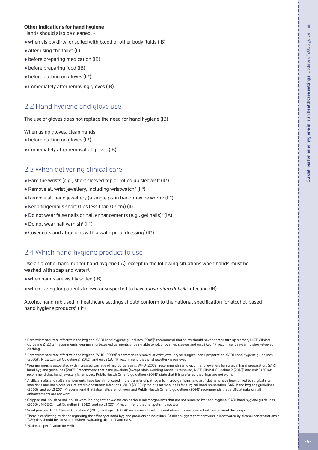#### <span id="page-5-0"></span>**Other indications for hand hygiene**

Hands should also be cleaned: -

- when visibly dirty, or soiled with blood or other body fluids (IB)
- after using the toilet (II)
- before preparing medication (IB)
- $\bullet$  before preparing food (IB)
- before putting on gloves (II\*)
- immediately after removing gloves (IB)

#### 2.2 Hand hygiene and glove use

The use of gloves does not replace the need for hand hygiene (IB)

When using gloves, clean hands: -

- $\bullet$  before putting on gloves (II\*)
- immediately after removal of gloves (IB)

#### 2.3 When delivering clinical care

- Bare the wrists (e.g., short sleeved top or rolled up sleeves)<sup>a</sup> (II\*)
- Remove all wrist jewellery, including wristwatch<sup>b</sup> (II\*)
- Remove all hand jewellery (a single plain band may be worn) $\epsilon$  (II\*)
- Keep fingernails short (tips less than 0.5cm) (II)
- . Do not wear false nails or nail enhancements (e.g., gel nails)<sup>d</sup> (IA)
- Do not wear nail varnish<sup>e</sup> (II\*)
- Cover cuts and abrasions with a waterproof dressing<sup>f</sup> (II\*)

#### 2.4 Which hand hygiene product to use

Use an alcohol hand rub for hand hygiene (IA), except in the following situations when hands must be washed with soap and water<sup>g</sup>:

- $\bullet$  when hands are visibly soiled (IB)
- <sup>l</sup> when caring for patients known or suspected to have *Clostridium difficile* infection (IB)

Alcohol hand rub used in healthcare settings should conform to the national specification for alcohol-based hand hygiene products<sup>h</sup> (II\*)

<sup>&</sup>lt;sup>a</sup> Bare wrists facilitate effective hand hygiene. SARI hand hygiene guidelines (2005)<sup>2</sup> recommend that shirts should have short or turn up sleeves, NICE Clinical Guideline 2 (2012)<sup>3</sup> recommends wearing short-sleeved garments or being able to roll or push up sleeves and epic3 (2014)<sup>4</sup> recommends wearing short-sleeved clothing.

 $^{\rm b}$  Bare wrists facilitate effective hand hygiene. WHO (2009)<sup>1</sup> recommends removal of wrist jewellery for surgical hand preparation. SARI hand hygiene guidelines (2005)<sup>2</sup>, NICE Clinical Guideline 2 (2012)<sup>3</sup> and epic3 (2014)<sup>4</sup> recommend that wrist jewellery is removed.

 $^{\rm c}$  Wearing rings is associated with increased carriage of microorganisms. WHO (2009) $^{\rm l}$  recommends removal of hand jewellery for surgical hand preparation. SARI hand hygiene guidelines (2005)<sup>2</sup> recommend that hand jewellery (except plain wedding bands) is removed; NICE Clinical Guideline 2 (2012)<sup>3</sup> and epic3 (2014)<sup>4</sup> recommend that hand jewellery is removed. Public Health Ontario guidelines (2014)<sup>5</sup> state that it is preferred that rings are not worn.

d Artificial nails and nail enhancements have been implicated in the transfer of pathogenic microorganisms, and artificial nails have been linked to surgical site infections and haemodialysis-related bloodstream infections. WHO (2009)' prohibits artificial nails for surgical hand preparation. SARI hand hygiene guidelines (2005)<sup>2</sup> and epic3 (2014)<sup>4</sup> recommend that false nails are not worn and Public Health Ontario guidelines (2014)<sup>5</sup> recommends that artificial nails or nail enhancements are not worn.

e Chipped nail polish or nail polish worn for longer than 4 days can harbour microorganisms that are not removed by hand hygiene. SARI hand hygiene guidelines (2005)<sup>2</sup>, NICE Clinical Guideline 2 (2012)<sup>3</sup> and epic3 (2014)<sup>4</sup> recommend that nail polish is not worn.

 $^{\mathsf{f}}$  Good practice. NICE Clinical Guideline 2 (2012) $^3$  and epic3 (2014) $^{\mathsf{4}}$  recommend that cuts and abrasions are covered with waterproof dressings.

<sup>&</sup>lt;sup>9</sup> There is conflicting evidence regarding the efficacy of hand hygiene products on norovirus. Studies suggest that norovirus is inactivated by alcohol concentrations ≥ 70%; this should be considered when evaluating alcohol hand rubs.

<sup>h</sup> National specification for AHR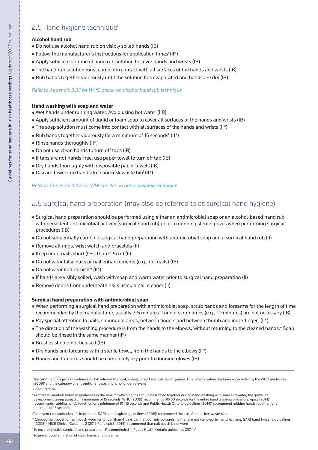## <span id="page-6-0"></span>2.5 Hand hygiene techniquei

#### **Alcohol hand rub**

- Do not use alcohol hand rub on visibly soiled hands (IB)
- Follow the manufacturer's instructions for application times<sup>j</sup> (II\*)
- Apply sufficient volume of hand rub solution to cover hands and wrists (IB)
- The hand rub solution must come into contact with all surfaces of the hands and wrists (IB)
- $\bullet$  Rub hands together vigorously until the solution has evaporated and hands are dry (IB)

#### *Refer to Appendix 3.3.1 for WHO poster on alcohol hand rub technique*

#### **Hand washing with soap and water**

- Wet hands under running water. Avoid using hot water (IIB)
- Apply sufficient amount of liquid or foam soap to cover all surfaces of the hands and wrists (IB)
- $\bullet$  The soap solution must come into contact with all surfaces of the hands and wrists (II\*)
- $\bullet$  Rub hands together vigorously for a minimum of 15 seconds $k$  (II\*)
- $\bullet$  Rinse hands thoroughly (II\*)
- Do not use clean hands to turn off taps (IB)
- If taps are not hands-free, use paper towel to turn off tap (IB)
- Dry hands thoroughly with disposable paper towels (IB)
- Discard towel into hands-free non-risk waste bin<sup>t</sup> (II\*)

#### *Refer to Appendix 3.3.2 for WHO poster on hand washing technique*

## 2.6 Surgical hand preparation (may also be referred to as surgical hand hygiene)

- <sup>l</sup> Surgical hand preparation should be performed using either an antimicrobial soap or an alcohol-based hand rub with persistent antimicrobial activity (surgical hand rub) prior to donning sterile gloves when performing surgical procedures (IB)
- Do not sequentially combine surgical hand preparation with antimicrobial soap and a surgical hand rub (II)
- Remove all rings, wrist watch and bracelets (II)
- Keep fingernails short (less than 0.5cm) (II)
- Do not wear false nails or nail enhancements (e.g., gel nails) (IB)
- $\bullet$  Do not wear nail varnish<sup>m</sup> (II\*)
- <sup>l</sup> If hands are visibly soiled, wash with soap and warm water prior to surgical hand preparation (II)
- Remove debris from underneath nails using a nail cleaner (II)

#### **Surgical hand preparation with antimicrobial soap**

- <sup>l</sup> When performing a surgical hand preparation with antimicrobial soap, scrub hands and forearms for the length of time recommended by the manufacturer, usually 2-5 minutes. Longer scrub times (e.g., 10 minutes) are not necessary (IB)
- . Pay special attention to nails, subungual areas, between fingers and between thumb and index finger<sup>n</sup> (II\*)
- . The direction of the washing procedure is from the hands to the elbows, without returning to the cleaned hands.<sup>o</sup> Soap should be rinsed in the same manner (II\*)
- Brushes should not be used (IB)
- $\bullet$  Dry hands and forearms with a sterile towel, from the hands to the elbows (II\*)
- Hands and forearms should be completely dry prior to donning gloves (IB)

 $^{\rm i}$  The SARI hand hygiene guidelines (2005)<sup>2</sup> referred to social, antiseptic and surgical hand hygiene. This categorisation has been superseded by the WHO guidelines (2009)<sup>1</sup> and the category of antiseptic handwashing is no longer relevant

<sup>j</sup> Good practice

k As there is variation between guidelines in the time for which hands should be rubbed together during hand washing with soap and water, the guideline development group agreed on a minimum of 15 seconds. WHO (2009)<sup>1</sup> recommends 40-60 seconds for the entire hand washing procedure; epic3 (2014)<sup>4</sup> recommends rubbing hands together for a minimum of 10- 15 seconds and Public Health Ontario guidelines (2014)<sup>s</sup> recommend rubbing hands together for a minimum of 15 seconds

 $^{\rm t}$ To prevent contamination of clean hands. SARI hand hygiene guidelines (2005) $^{\rm 2}$  recommend the use of hands free waste bins

<sup>m</sup> Chipped nail polish or nail polish worn for longer than 4 days can harbour microorganisms that are not removed by hand hygiene. SARI hand hygiene guidelines (2005)<sup>2</sup>, NICE Clinical Guideline 2 (2012)<sup>3</sup> and epic3 (2014)<sup>4</sup> recommend that nail polish is not worn

<sup>&</sup>lt;sup>n</sup> To ensure effective surgical hand preparation. Recommended in Public Health Ontario guidelines (2014)<sup>5</sup>

o To prevent contamination of clean hands and forearms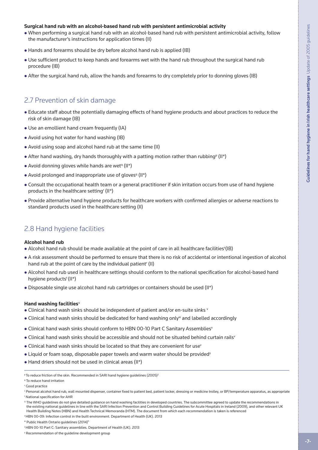#### <span id="page-7-0"></span>**Surgical hand rub with an alcohol-based hand rub with persistent antimicrobial activity**

- When performing a surgical hand rub with an alcohol-based hand rub with persistent antimicrobial activity, follow the manufacturer's instructions for application times (II)
- Hands and forearms should be dry before alcohol hand rub is applied (IB)
- . Use sufficient product to keep hands and forearms wet with the hand rub throughout the surgical hand rub procedure (IB)
- After the surgical hand rub, allow the hands and forearms to dry completely prior to donning gloves (IB)

#### 2.7 Prevention of skin damage

- <sup>l</sup> Educate staff about the potentially damaging effects of hand hygiene products and about practices to reduce the risk of skin damage (IB)
- Use an emollient hand cream frequently (IA)
- Avoid using hot water for hand washing (IB)
- Avoid using soap and alcohol hand rub at the same time (II)
- After hand washing, dry hands thoroughly with a patting motion rather than rubbing<sup>p</sup> (II\*)
- $\bullet$  Avoid donning gloves while hands are wet<sup>q</sup> (II\*)
- Avoid prolonged and inappropriate use of gloves<sup>q</sup> (II\*)
- Consult the occupational health team or a general practitioner if skin irritation occurs from use of hand hygiene products in the healthcare setting<sup>r</sup> (II\*)
- <sup>l</sup> Provide alternative hand hygiene products for healthcare workers with confirmed allergies or adverse reactions to standard products used in the healthcare setting (II)

#### 2.8 Hand hygiene facilities

#### **Alcohol hand rub**

- . Alcohol hand rub should be made available at the point of care in all healthcare facilities<sup>s</sup>(IB)
- <sup>l</sup> A risk assessment should be performed to ensure that there is no risk of accidental or intentional ingestion of alcohol hand rub at the point of care by the individual patient<sup>r</sup> (II)
- <sup>l</sup> Alcohol hand rub used in healthcare settings should conform to the national specification for alcohol-based hand hygiene products<sup>t</sup> (II\*)
- $\bullet$  Disposable single use alcohol hand rub cartridges or containers should be used (II\*)

#### **Hand washing facilities**<sup>u</sup>

- Clinical hand wash sinks should be independent of patient and/or en-suite sinks v
- Clinical hand wash sinks should be dedicated for hand washing only<sup>w</sup> and labelled accordingly
- Clinical hand wash sinks should conform to HBN 00-10 Part C Sanitary Assemblies
- . Clinical hand wash sinks should be accessible and should not be situated behind curtain rails<sup>y</sup>
- Clinical hand wash sinks should be located so that they are convenient for use<sup>v</sup>
- $\bullet$  Liquid or foam soap, disposable paper towels and warm water should be provided<sup>y</sup>
- Hand driers should not be used in clinical areas (II\*)

p To reduce friction of the skin. Recommended in SARI hand hygiene guidelines (2005)2

<sup>&</sup>lt;sup>q</sup> To reduce hand irritation

<sup>r</sup> Good practice

<sup>s</sup> Personal alcohol hand rub, wall mounted dispenser, container fixed to patient bed, patient locker, dressing or medicine trolley, or BP/temperature apparatus, as appropriate t National specification for AHR

<sup>&</sup>lt;sup>U</sup> The WHO guidelines do not give detailed guidance on hand washing facilities in developed countries. The subcommittee agreed to update the recommendations in the existing national guidelines in line with the SARI Infection Prevention and Control Building Guidelines for Acute Hospitals in Ireland (2009), and other relevant UK Health Building Notes (HBN) and Health Technical Memoranda (HTM). The document from which each recommendation is taken is referenced

v HBN 00-09: Infection control in the built environment. Department of Health (UK). 2013

w Public Health Ontario guidelines (2014)<sup>5</sup>

x HBN 00-10 Part C: Sanitary assemblies. Department of Health (UK). 2013

y Recommendation of the guideline development group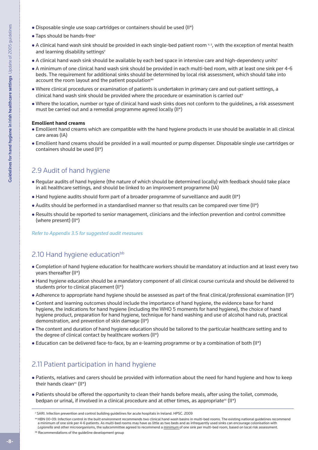- <span id="page-8-0"></span>• Disposable single use soap cartridges or containers should be used (II\*)
- $\bullet$  Taps should be hands-free
- A clinical hand wash sink should be provided in each single-bed patient room  $v, z$ , with the exception of mental health and learning disability settings<sup>v</sup>
- A clinical hand wash sink should be available by each bed space in intensive care and high-dependency units<sup>v</sup>
- <sup>l</sup> A minimum of one clinical hand wash sink should be provided in each multi-bed room, with at least one sink per 4-6 beds. The requirement for additional sinks should be determined by local risk assessment, which should take into account the room layout and the patient population<sup>aa</sup>
- <sup>l</sup> Where clinical procedures or examination of patients is undertaken in primary care and out-patient settings, a clinical hand wash sink should be provided where the procedure or examination is carried out"
- . Where the location, number or type of clinical hand wash sinks does not conform to the guidelines, a risk assessment must be carried out and a remedial programme agreed locally (II\*)

#### **Emollient hand creams**

- <sup>l</sup> Emollient hand creams which are compatible with the hand hygiene products in use should be available in all clinical care areas (IA)
- <sup>l</sup> Emollient hand creams should be provided in a wall mounted or pump dispenser. Disposable single use cartridges or containers should be used (II\*)

## 2.9 Audit of hand hygiene

- Regular audits of hand hygiene (the nature of which should be determined locally) with feedback should take place in all healthcare settings, and should be linked to an improvement programme (IA)
- $\bullet$  Hand hygiene audits should form part of a broader programme of surveillance and audit (II\*)
- $\bullet$  Audits should be performed in a standardised manner so that results can be compared over time (II\*)
- <sup>l</sup> Results should be reported to senior management, clinicians and the infection prevention and control committee (where present) (II\*)

#### *Refer to Appendix 3.5 for suggested audit measures*

## 2.10 Hand hygiene education<sup>bb</sup>

- <sup>l</sup> Completion of hand hygiene education for healthcare workers should be mandatory at induction and at least every two years thereafter (II\*)
- <sup>l</sup> Hand hygiene education should be a mandatory component of all clinical course curricula and should be delivered to students prior to clinical placement (II\*)
- Adherence to appropriate hand hygiene should be assessed as part of the final clinical/professional examination (II\*)
- Content and learning outcomes should include the importance of hand hygiene, the evidence base for hand hygiene, the indications for hand hygiene (including the WHO 5 moments for hand hygiene), the choice of hand hygiene product, preparation for hand hygiene, technique for hand washing and use of alcohol hand rub, practical demonstration, and prevention of skin damage (II\*)
- <sup>l</sup> The content and duration of hand hygiene education should be tailored to the particular healthcare setting and to the degree of clinical contact by healthcare workers (II\*)
- Education can be delivered face-to-face, by an e-learning programme or by a combination of both (II\*)

## 2.11 Patient participation in hand hygiene

- <sup>l</sup> Patients, relatives and carers should be provided with information about the need for hand hygiene and how to keep their hands clean<sup>cc</sup>  $(II^*)$
- Patients should be offered the opportunity to clean their hands before meals, after using the toilet, commode, bedpan or urinal, if involved in a clinical procedure and at other times, as appropriate<sup>cc</sup> (II<sup>\*</sup>)

bb Recommendations of the guideline development group

z SARI. Infection prevention and control building guidelines for acute hospitals in Ireland. HPSC. 2009

aa HBN 00-09: Infection control in the built environment recommends two clinical hand wash basins in multi-bed rooms. The existing national quidelines recommend a minimum of one sink per 4-6 patients. As multi-bed rooms may have as little as two beds and as infrequently used sinks can encourage colonisation with *Legionella* and other microorganisms, the subcommittee agreed to recommend a minimum of one sink per multi-bed room, based on local risk assessment.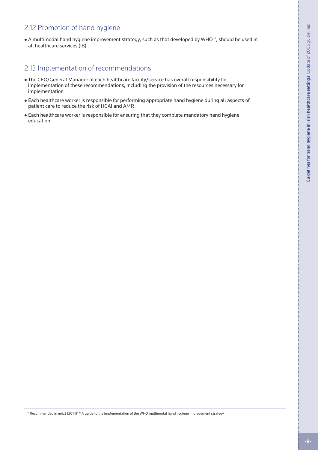## <span id="page-9-0"></span>2.12 Promotion of hand hygiene

• A multimodal hand hygiene improvement strategy, such as that developed by WHO<sup>dd</sup>, should be used in all healthcare services (IB)

## 2.13 Implementation of recommendations

- The CEO/General Manager of each healthcare facility/service has overall responsibility for implementation of these recommendations, including the provision of the resources necessary for implementation
- <sup>l</sup> Each healthcare worker is responsible for performing appropriate hand hygiene during all aspects of patient care to reduce the risk of HCAI and AMR
- Each healthcare worker is responsible for ensuring that they complete mandatory hand hygiene education

<sup>cc</sup> Recommended in epic3 (2014)<sup>4 dd</sup> A guide to the implementation of the WHO multimodal hand hygiene improvement strategy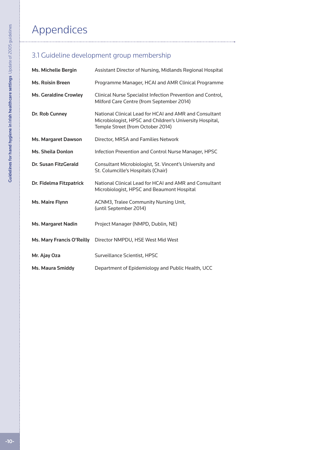# <span id="page-10-0"></span>Appendices

## 3.1 Guideline development group membership

| Ms. Michelle Bergin              | Assistant Director of Nursing, Midlands Regional Hospital                                                                                               |
|----------------------------------|---------------------------------------------------------------------------------------------------------------------------------------------------------|
| <b>Ms. Roisin Breen</b>          | Programme Manager, HCAI and AMR Clinical Programme                                                                                                      |
| <b>Ms. Geraldine Crowley</b>     | Clinical Nurse Specialist Infection Prevention and Control,<br>Milford Care Centre (from September 2014)                                                |
| Dr. Rob Cunney                   | National Clinical Lead for HCAI and AMR and Consultant<br>Microbiologist, HPSC and Children's University Hospital,<br>Temple Street (from October 2014) |
| <b>Ms. Margaret Dawson</b>       | Director, MRSA and Families Network                                                                                                                     |
| <b>Ms. Sheila Donlon</b>         | Infection Prevention and Control Nurse Manager, HPSC                                                                                                    |
| Dr. Susan FitzGerald             | Consultant Microbiologist, St. Vincent's University and<br>St. Columcille's Hospitals (Chair)                                                           |
| Dr. Fidelma Fitzpatrick          | National Clinical Lead for HCAI and AMR and Consultant<br>Microbiologist, HPSC and Beaumont Hospital                                                    |
| Ms. Maire Flynn                  | ACNM3, Tralee Community Nursing Unit,<br>(until September 2014)                                                                                         |
| <b>Ms. Margaret Nadin</b>        | Project Manager (NMPD, Dublin, NE)                                                                                                                      |
| <b>Ms. Mary Francis O'Reilly</b> | Director NMPDU, HSE West Mid West                                                                                                                       |
| Mr. Ajay Oza                     | Surveillance Scientist, HPSC                                                                                                                            |
| <b>Ms. Maura Smiddy</b>          | Department of Epidemiology and Public Health, UCC                                                                                                       |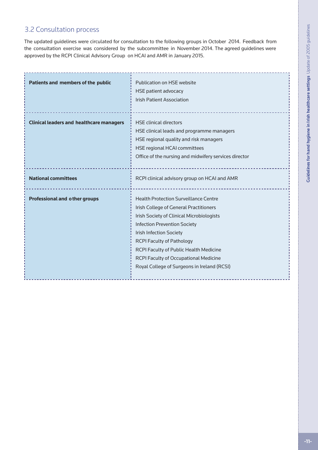## <span id="page-11-0"></span>3.2 Consultation process

The updated guidelines were circulated for consultation to the following groups in October 2014. Feedback from the consultation exercise was considered by the subcommittee in November 2014. The agreed guidelines were approved by the RCPI Clinical Advisory Group on HCAI and AMR in January 2015.

| Patients and members of the public              | Publication on HSE website<br><b>HSE patient advocacy</b><br><b>Irish Patient Association</b>                                                                                                                                                                                                                                                                                             |
|-------------------------------------------------|-------------------------------------------------------------------------------------------------------------------------------------------------------------------------------------------------------------------------------------------------------------------------------------------------------------------------------------------------------------------------------------------|
| <b>Clinical leaders and healthcare managers</b> | <b>HSE clinical directors</b><br>HSE clinical leads and programme managers<br>HSE regional quality and risk managers<br><b>HSE regional HCAI committees</b><br>Office of the nursing and midwifery services director                                                                                                                                                                      |
| <b>National committees</b>                      | RCPI clinical advisory group on HCAI and AMR                                                                                                                                                                                                                                                                                                                                              |
| <b>Professional and other groups</b>            | <b>Health Protection Surveillance Centre</b><br>Irish College of General Practitioners<br><b>Irish Society of Clinical Microbiologists</b><br><b>Infection Prevention Society</b><br><b>Irish Infection Society</b><br><b>RCPI Faculty of Pathology</b><br>RCPI Faculty of Public Health Medicine<br>RCPI Faculty of Occupational Medicine<br>Royal College of Surgeons in Ireland (RCSI) |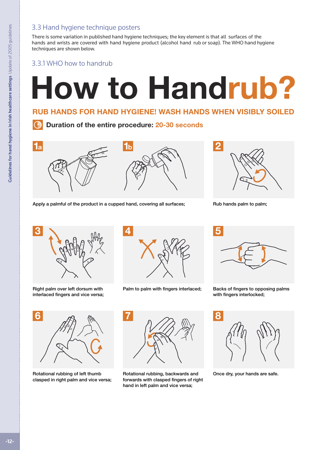## <span id="page-12-0"></span>3.3 Hand hygiene technique posters

There is some variation in published hand hygiene techniques; the key element is that all surfaces of the hands and wrists are covered with hand hygiene product (alcohol hand rub or soap). The WHO hand hygiene techniques are shown below.

### 3.3.1 WHO how to handrub

# **How to Handrub?**

## **RUB HANDS FOR HAND HYGIENE! WASH HANDS WHEN VISIBLY SOILED**

**Duration of the entire procedure: 20-30 seconds**



Apply a palmful of the product in a cupped hand, covering all surfaces; Rub hands palm to palm;





Right palm over left dorsum with interlaced fingers and vice versa;



Palm to palm with fingers interlaced; Backs of fingers to opposing palms



with fingers interlocked;



Rotational rubbing of left thumb clasped in right palm and vice versa;



Rotational rubbing, backwards and forwards with clasped fingers of right hand in left palm and vice versa;



Once dry, your hands are safe.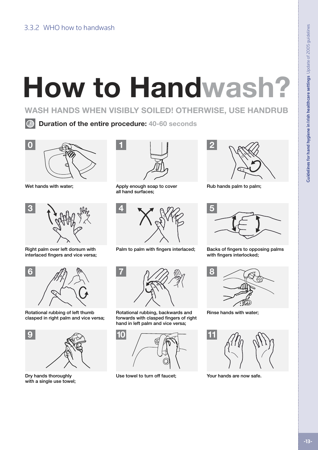<span id="page-13-0"></span>

**WASH HANDS WHEN VISIBLY SOILED! OTHERWISE, USE HANDRUB** 

**Duration of the entire procedure: 40-60 seconds**



Wet hands with water;



Right palm over left dorsum with interlaced fingers and vice versa;



Rotational rubbing of left thumb clasped in right palm and vice versa;



with a single use towel;



Apply enough soap to cover Rub hands palm to palm; all hand surfaces;





Rotational rubbing, backwards and forwards with clasped fingers of right hand in left palm and vice versa;



Dry hands thoroughly **USe towel to turn off faucet;** Your hands are now safe.





Palm to palm with fingers interlaced; Backs of fingers to opposing palms with fingers interlocked;



Rinse hands with water;

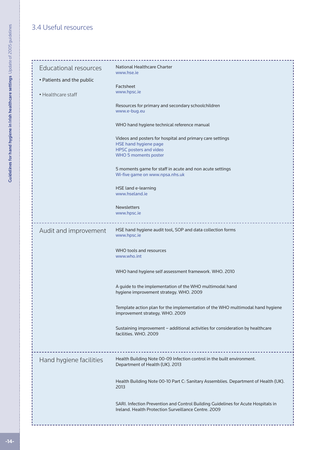## <span id="page-14-0"></span>3.4 Useful resources

| Educational resources<br>• Patients and the public<br>• Healthcare staff | National Healthcare Charter<br>www.hse.je<br>Factsheet<br>www.hpsc.ie<br>Resources for primary and secondary schoolchildren<br>www.e-bug.eu<br>WHO hand hygiene technical reference manual<br>Videos and posters for hospital and primary care settings<br>HSE hand hygiene page<br><b>HPSC posters and video</b><br><b>WHO 5 moments poster</b><br>5 moments game for staff in acute and non acute settings<br>Wi-five game on www.npsa.nhs.uk<br>HSE land e-learning<br>www.hseland.ie<br><b>Newsletters</b><br>www.hpsc.ie |
|--------------------------------------------------------------------------|-------------------------------------------------------------------------------------------------------------------------------------------------------------------------------------------------------------------------------------------------------------------------------------------------------------------------------------------------------------------------------------------------------------------------------------------------------------------------------------------------------------------------------|
| Audit and improvement                                                    | HSE hand hygiene audit tool, SOP and data collection forms<br>www.hpsc.ie<br>WHO tools and resources<br>www.who.int<br>WHO hand hygiene self assessment framework. WHO. 2010<br>A guide to the implementation of the WHO multimodal hand<br>hygiene improvement strategy. WHO. 2009<br>Template action plan for the implementation of the WHO multimodal hand hygiene<br>improvement strategy. WHO. 2009                                                                                                                      |
| Hand hygiene facilities                                                  | Sustaining improvement - additional activities for consideration by healthcare<br>facilities. WHO. 2009<br>Health Building Note 00-09 Infection control in the built environment.<br>Department of Health (UK). 2013<br>Health Building Note 00-10 Part C: Sanitary Assemblies. Department of Health (UK).<br>2013<br>SARI. Infection Prevention and Control Building Guidelines for Acute Hospitals in<br>Ireland. Health Protection Surveillance Centre. 2009                                                               |

------------------------------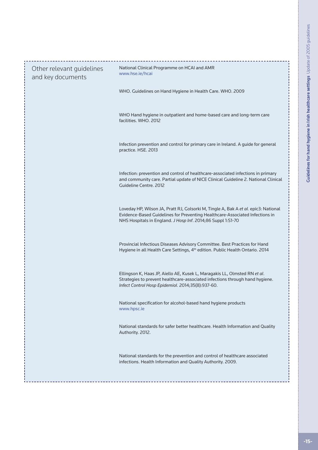| Other relevant guidelines<br>and key documents | National Clinical Programme on HCAI and AMR<br>www.hse.ie/hcai                                                                                                                                                                     |
|------------------------------------------------|------------------------------------------------------------------------------------------------------------------------------------------------------------------------------------------------------------------------------------|
|                                                | WHO. Guidelines on Hand Hygiene in Health Care. WHO. 2009                                                                                                                                                                          |
|                                                | WHO Hand hygiene in outpatient and home-based care and long-term care<br>facilities. WHO. 2012                                                                                                                                     |
|                                                | Infection prevention and control for primary care in Ireland. A guide for general<br>practice. HSE. 2013                                                                                                                           |
|                                                | Infection: prevention and control of healthcare-associated infections in primary<br>and community care. Partial update of NICE Clinical Guideline 2. National Clinical<br>Guideline Centre, 2012                                   |
|                                                | Loveday HP, Wilson JA, Pratt RJ, Golsorki M, Tingle A, Bak A et al. epic3: National<br>Evidence-Based Guidelines for Preventing Healthcare-Associated Infections in<br>NHS Hospitals in England. J Hosp Inf. 2014;86 Suppl 1:S1-70 |
|                                                | Provincial Infectious Diseases Advisory Committee. Best Practices for Hand<br>Hygiene in all Health Care Settings, 4 <sup>th</sup> edition. Public Health Ontario. 2014                                                            |
|                                                | Ellingson K, Haas JP, Aiello AE, Kusek L, Maragakis LL, Olmsted RN et al.<br>Strategies to prevent healthcare-associated infections through hand hygiene.<br>Infect Control Hosp Epidemiol. 2014;35(8):937-60.                     |
|                                                | National specification for alcohol-based hand hygiene products<br>www.hpsc.ie                                                                                                                                                      |
|                                                | National standards for safer better healthcare. Health Information and Quality<br>Authority. 2012.                                                                                                                                 |
|                                                | National standards for the prevention and control of healthcare associated<br>infections. Health Information and Quality Authority. 2009.                                                                                          |
|                                                |                                                                                                                                                                                                                                    |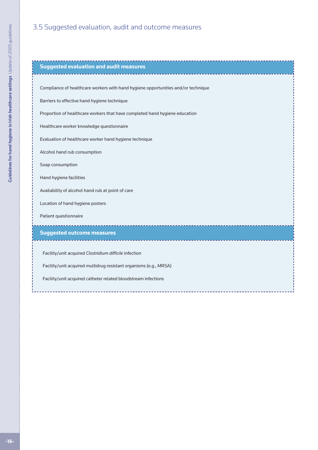## <span id="page-16-0"></span>3.5 Suggested evaluation, audit and outcome measures

| <b>Suggested evaluation and audit measures</b>                                    |
|-----------------------------------------------------------------------------------|
|                                                                                   |
| Compliance of healthcare workers with hand hygiene opportunities and/or technique |
| Barriers to effective hand hygiene technique                                      |
| Proportion of healthcare workers that have completed hand hygiene education       |
| Healthcare worker knowledge questionnaire                                         |
| Evaluation of healthcare worker hand hygiene technique                            |
| Alcohol hand rub consumption                                                      |
| Soap consumption                                                                  |
| Hand hygiene facilities                                                           |
| Availability of alcohol hand rub at point of care                                 |
| Location of hand hygiene posters                                                  |
| Patient questionnaire                                                             |
| <b>Suggested outcome measures</b>                                                 |
|                                                                                   |
| Facility/unit acquired Clostridium difficile infection                            |
| Facility/unit acquired multidrug resistant organisms (e.g., MRSA)                 |
| Facility/unit acquired catheter related bloodstream infections                    |
|                                                                                   |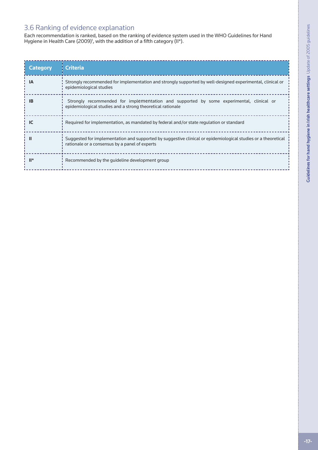## <span id="page-17-0"></span>3.6 Ranking of evidence explanation

Each recommendation is ranked, based on the ranking of evidence system used in the WHO Guidelines for Hand Hygiene in Health Care (2009)<sup>1</sup>, with the addition of a fifth category (II\*).

| <b>Category</b> | <b>Criteria</b>                                                                                                                                                 |
|-----------------|-----------------------------------------------------------------------------------------------------------------------------------------------------------------|
| <b>IA</b>       | Strongly recommended for implementation and strongly supported by well-designed experimental, clinical or<br>epidemiological studies                            |
| <b>IB</b>       | Strongly recommended for implementation and supported by some experimental, clinical or<br>epidemiological studies and a strong theoretical rationale           |
| IC              | Required for implementation, as mandated by federal and/or state regulation or standard                                                                         |
|                 | Suggested for implementation and supported by suggestive clinical or epidemiological studies or a theoretical<br>rationale or a consensus by a panel of experts |
| $\mathbb{H}^*$  | Recommended by the quideline development group                                                                                                                  |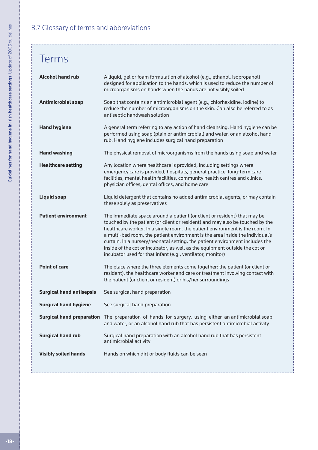## <span id="page-18-0"></span>3.7 Glossary of terms and abbreviations

# Terms

| <b>Alcohol hand rub</b>         | A liquid, gel or foam formulation of alcohol (e.g., ethanol, isopropanol)<br>designed for application to the hands, which is used to reduce the number of<br>microorganisms on hands when the hands are not visibly soiled                                                                                                                                                                                                                                                                                                                              |
|---------------------------------|---------------------------------------------------------------------------------------------------------------------------------------------------------------------------------------------------------------------------------------------------------------------------------------------------------------------------------------------------------------------------------------------------------------------------------------------------------------------------------------------------------------------------------------------------------|
| <b>Antimicrobial soap</b>       | Soap that contains an antimicrobial agent (e.g., chlorhexidine, iodine) to<br>reduce the number of microorganisms on the skin. Can also be referred to as<br>antiseptic handwash solution                                                                                                                                                                                                                                                                                                                                                               |
| <b>Hand hygiene</b>             | A general term referring to any action of hand cleansing. Hand hygiene can be<br>performed using soap (plain or antimicrobial) and water, or an alcohol hand<br>rub. Hand hygiene includes surgical hand preparation                                                                                                                                                                                                                                                                                                                                    |
| <b>Hand washing</b>             | The physical removal of microorganisms from the hands using soap and water                                                                                                                                                                                                                                                                                                                                                                                                                                                                              |
| <b>Healthcare setting</b>       | Any location where healthcare is provided, including settings where<br>emergency care is provided, hospitals, general practice, long-term care<br>facilities, mental health facilities, community health centres and clinics,<br>physician offices, dental offices, and home care                                                                                                                                                                                                                                                                       |
| <b>Liquid soap</b>              | Liquid detergent that contains no added antimicrobial agents, or may contain<br>these solely as preservatives                                                                                                                                                                                                                                                                                                                                                                                                                                           |
| <b>Patient environment</b>      | The immediate space around a patient (or client or resident) that may be<br>touched by the patient (or client or resident) and may also be touched by the<br>healthcare worker. In a single room, the patient environment is the room. In<br>a multi-bed room, the patient environment is the area inside the individual's<br>curtain. In a nursery/neonatal setting, the patient environment includes the<br>inside of the cot or incubator, as well as the equipment outside the cot or<br>incubator used for that infant (e.g., ventilator, monitor) |
| <b>Point of care</b>            | The place where the three elements come together: the patient (or client or<br>resident), the healthcare worker and care or treatment involving contact with<br>the patient (or client or resident) or his/her surroundings                                                                                                                                                                                                                                                                                                                             |
| <b>Surgical hand antisepsis</b> | See surgical hand preparation                                                                                                                                                                                                                                                                                                                                                                                                                                                                                                                           |
| <b>Surgical hand hygiene</b>    | See surgical hand preparation                                                                                                                                                                                                                                                                                                                                                                                                                                                                                                                           |
|                                 | Surgical hand preparation The preparation of hands for surgery, using either an antimicrobial soap<br>and water, or an alcohol hand rub that has persistent antimicrobial activity                                                                                                                                                                                                                                                                                                                                                                      |
| <b>Surgical hand rub</b>        | Surgical hand preparation with an alcohol hand rub that has persistent<br>antimicrobial activity                                                                                                                                                                                                                                                                                                                                                                                                                                                        |
| <b>Visibly soiled hands</b>     | Hands on which dirt or body fluids can be seen                                                                                                                                                                                                                                                                                                                                                                                                                                                                                                          |

---------------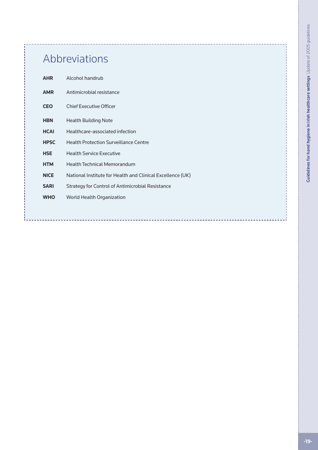# Abbreviations

| <b>AHR</b>  | Alcohol handrub                                            |
|-------------|------------------------------------------------------------|
| <b>AMR</b>  | Antimicrobial resistance                                   |
| <b>CEO</b>  | <b>Chief Executive Officer</b>                             |
| <b>HBN</b>  | <b>Health Building Note</b>                                |
| <b>HCAI</b> | Healthcare-associated infection                            |
| <b>HPSC</b> | Health Protection Surveillance Centre                      |
| <b>HSE</b>  | <b>Health Service Executive</b>                            |
| <b>HTM</b>  | <b>Health Technical Memorandum</b>                         |
| <b>NICE</b> | National Institute for Health and Clinical Excellence (UK) |
| <b>SARI</b> | Strategy for Control of Antimicrobial Resistance           |
| <b>WHO</b>  | World Health Organization                                  |
|             |                                                            |
|             |                                                            |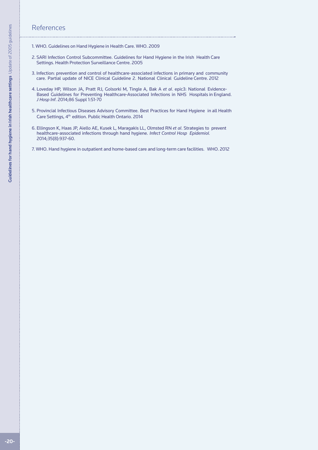#### <span id="page-20-0"></span>**References**

- 
- 1. WHO. Guidelines on Hand Hygiene in Health Care. WHO. 2009
- 2. SARI Infection Control Subcommittee. Guidelines for Hand Hygiene in the Irish Health Care Settings. Health Protection Surveillance Centre. 2005
- 3. Infection: prevention and control of healthcare-associated infections in primary and community care. Partial update of NICE Clinical Guideline 2. National Clinical Guideline Centre. 2012
- 4. Loveday HP, Wilson JA, Pratt RJ, Golsorki M, Tingle A, Bak A *et al*. epic3: National Evidence-Based Guidelines for Preventing Healthcare-Associated Infections in NHS Hospitals in England. *J Hosp Inf*. 2014;86 Suppl 1:S1-70
- 5. Provincial Infectious Diseases Advisory Committee. Best Practices for Hand Hygiene in all Health Care Settings, 4th edition. Public Health Ontario. 2014
- 6. Ellingson K, Haas JP, Aiello AE, Kusek L, Maragakis LL, Olmsted RN *et al*. Strategies to prevent healthcare-associated infections through hand hygiene. *Infect Control Hosp Epidemiol.* 2014;35(8):937-60.
- 7. WHO. Hand hygiene in outpatient and home-based care and long-term care facilities. WHO. 2012